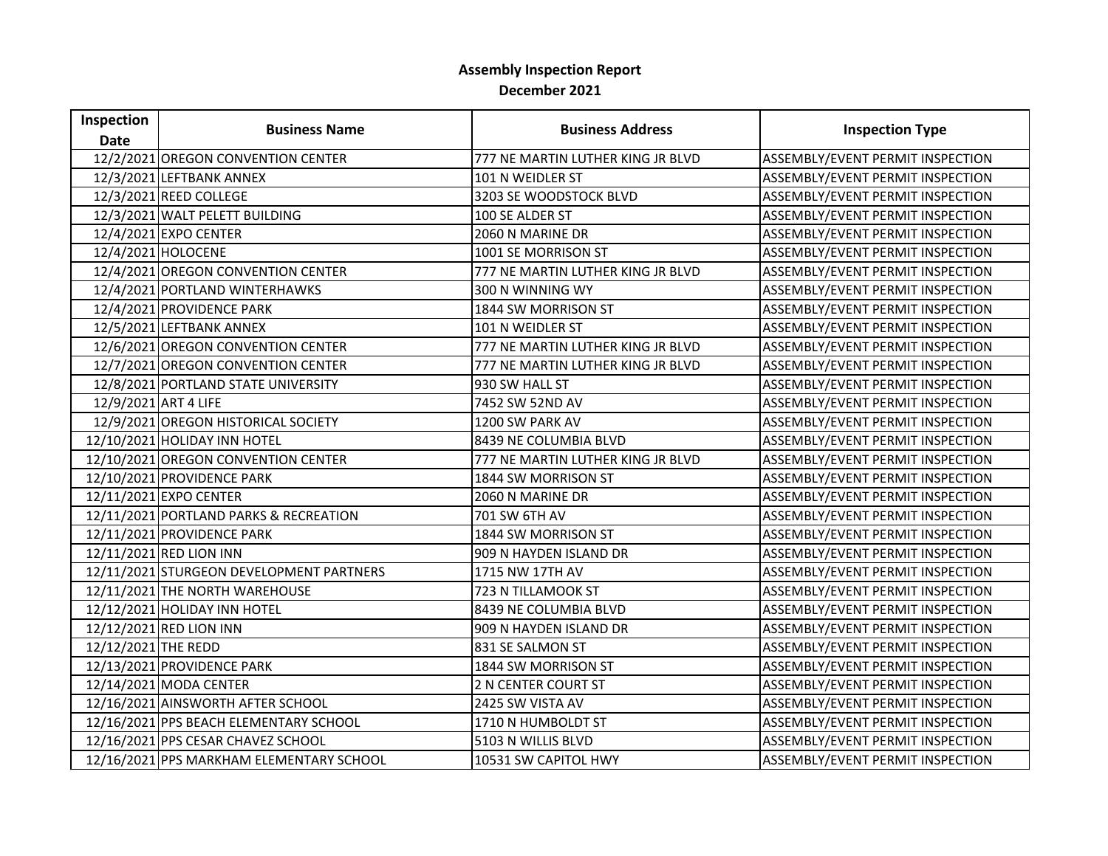## **Assembly Inspection Report December 2021**

| Inspection           |                                          |                                   |                                  |
|----------------------|------------------------------------------|-----------------------------------|----------------------------------|
| <b>Date</b>          | <b>Business Name</b>                     | <b>Business Address</b>           | <b>Inspection Type</b>           |
|                      | 12/2/2021 OREGON CONVENTION CENTER       | 777 NE MARTIN LUTHER KING JR BLVD | ASSEMBLY/EVENT PERMIT INSPECTION |
|                      | 12/3/2021 LEFTBANK ANNEX                 | 101 N WEIDLER ST                  | ASSEMBLY/EVENT PERMIT INSPECTION |
|                      | 12/3/2021 REED COLLEGE                   | 3203 SE WOODSTOCK BLVD            | ASSEMBLY/EVENT PERMIT INSPECTION |
|                      | 12/3/2021 WALT PELETT BUILDING           | 100 SE ALDER ST                   | ASSEMBLY/EVENT PERMIT INSPECTION |
|                      | 12/4/2021 EXPO CENTER                    | 2060 N MARINE DR                  | ASSEMBLY/EVENT PERMIT INSPECTION |
|                      | 12/4/2021 HOLOCENE                       | 1001 SE MORRISON ST               | ASSEMBLY/EVENT PERMIT INSPECTION |
|                      | 12/4/2021 OREGON CONVENTION CENTER       | 777 NE MARTIN LUTHER KING JR BLVD | ASSEMBLY/EVENT PERMIT INSPECTION |
|                      | 12/4/2021 PORTLAND WINTERHAWKS           | 300 N WINNING WY                  | ASSEMBLY/EVENT PERMIT INSPECTION |
|                      | 12/4/2021 PROVIDENCE PARK                | 1844 SW MORRISON ST               | ASSEMBLY/EVENT PERMIT INSPECTION |
|                      | 12/5/2021 LEFTBANK ANNEX                 | 101 N WEIDLER ST                  | ASSEMBLY/EVENT PERMIT INSPECTION |
|                      | 12/6/2021 OREGON CONVENTION CENTER       | 777 NE MARTIN LUTHER KING JR BLVD | ASSEMBLY/EVENT PERMIT INSPECTION |
|                      | 12/7/2021 OREGON CONVENTION CENTER       | 777 NE MARTIN LUTHER KING JR BLVD | ASSEMBLY/EVENT PERMIT INSPECTION |
|                      | 12/8/2021 PORTLAND STATE UNIVERSITY      | 930 SW HALL ST                    | ASSEMBLY/EVENT PERMIT INSPECTION |
| 12/9/2021 ART 4 LIFE |                                          | 7452 SW 52ND AV                   | ASSEMBLY/EVENT PERMIT INSPECTION |
|                      | 12/9/2021 OREGON HISTORICAL SOCIETY      | 1200 SW PARK AV                   | ASSEMBLY/EVENT PERMIT INSPECTION |
|                      | 12/10/2021 HOLIDAY INN HOTEL             | 8439 NE COLUMBIA BLVD             | ASSEMBLY/EVENT PERMIT INSPECTION |
|                      | 12/10/2021 OREGON CONVENTION CENTER      | 777 NE MARTIN LUTHER KING JR BLVD | ASSEMBLY/EVENT PERMIT INSPECTION |
|                      | 12/10/2021 PROVIDENCE PARK               | 1844 SW MORRISON ST               | ASSEMBLY/EVENT PERMIT INSPECTION |
|                      | 12/11/2021 EXPO CENTER                   | 2060 N MARINE DR                  | ASSEMBLY/EVENT PERMIT INSPECTION |
|                      | 12/11/2021 PORTLAND PARKS & RECREATION   | 701 SW 6TH AV                     | ASSEMBLY/EVENT PERMIT INSPECTION |
|                      | 12/11/2021 PROVIDENCE PARK               | 1844 SW MORRISON ST               | ASSEMBLY/EVENT PERMIT INSPECTION |
|                      | 12/11/2021 RED LION INN                  | 909 N HAYDEN ISLAND DR            | ASSEMBLY/EVENT PERMIT INSPECTION |
|                      | 12/11/2021 STURGEON DEVELOPMENT PARTNERS | 1715 NW 17TH AV                   | ASSEMBLY/EVENT PERMIT INSPECTION |
|                      | 12/11/2021 THE NORTH WAREHOUSE           | 723 N TILLAMOOK ST                | ASSEMBLY/EVENT PERMIT INSPECTION |
|                      | 12/12/2021 HOLIDAY INN HOTEL             | 8439 NE COLUMBIA BLVD             | ASSEMBLY/EVENT PERMIT INSPECTION |
|                      | 12/12/2021 RED LION INN                  | 909 N HAYDEN ISLAND DR            | ASSEMBLY/EVENT PERMIT INSPECTION |
| 12/12/2021 THE REDD  |                                          | 831 SE SALMON ST                  | ASSEMBLY/EVENT PERMIT INSPECTION |
|                      | 12/13/2021 PROVIDENCE PARK               | 1844 SW MORRISON ST               | ASSEMBLY/EVENT PERMIT INSPECTION |
|                      | 12/14/2021 MODA CENTER                   | 2 N CENTER COURT ST               | ASSEMBLY/EVENT PERMIT INSPECTION |
|                      | 12/16/2021 AINSWORTH AFTER SCHOOL        | 2425 SW VISTA AV                  | ASSEMBLY/EVENT PERMIT INSPECTION |
|                      | 12/16/2021 PPS BEACH ELEMENTARY SCHOOL   | 1710 N HUMBOLDT ST                | ASSEMBLY/EVENT PERMIT INSPECTION |
|                      | 12/16/2021 PPS CESAR CHAVEZ SCHOOL       | 5103 N WILLIS BLVD                | ASSEMBLY/EVENT PERMIT INSPECTION |
|                      | 12/16/2021 PPS MARKHAM ELEMENTARY SCHOOL | 10531 SW CAPITOL HWY              | ASSEMBLY/EVENT PERMIT INSPECTION |